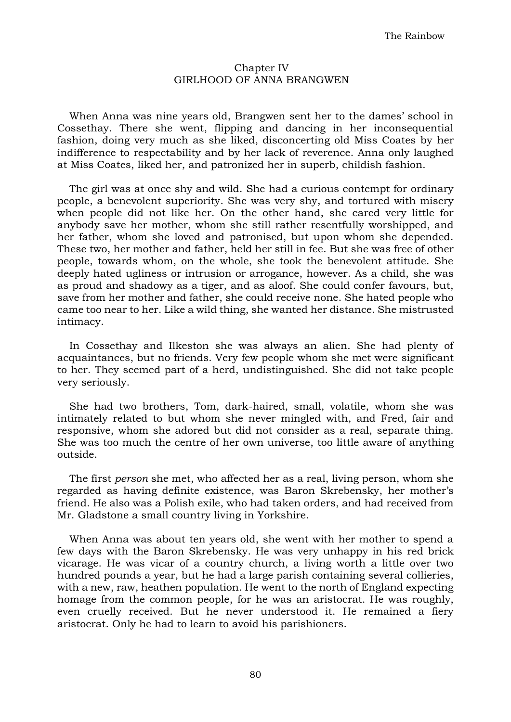## Chapter IV GIRLHOOD OF ANNA BRANGWEN

When Anna was nine years old, Brangwen sent her to the dames' school in Cossethay. There she went, flipping and dancing in her inconsequential fashion, doing very much as she liked, disconcerting old Miss Coates by her indifference to respectability and by her lack of reverence. Anna only laughed at Miss Coates, liked her, and patronized her in superb, childish fashion.

The girl was at once shy and wild. She had a curious contempt for ordinary people, a benevolent superiority. She was very shy, and tortured with misery when people did not like her. On the other hand, she cared very little for anybody save her mother, whom she still rather resentfully worshipped, and her father, whom she loved and patronised, but upon whom she depended. These two, her mother and father, held her still in fee. But she was free of other people, towards whom, on the whole, she took the benevolent attitude. She deeply hated ugliness or intrusion or arrogance, however. As a child, she was as proud and shadowy as a tiger, and as aloof. She could confer favours, but, save from her mother and father, she could receive none. She hated people who came too near to her. Like a wild thing, she wanted her distance. She mistrusted intimacy.

In Cossethay and Ilkeston she was always an alien. She had plenty of acquaintances, but no friends. Very few people whom she met were significant to her. They seemed part of a herd, undistinguished. She did not take people very seriously.

She had two brothers, Tom, dark-haired, small, volatile, whom she was intimately related to but whom she never mingled with, and Fred, fair and responsive, whom she adored but did not consider as a real, separate thing. She was too much the centre of her own universe, too little aware of anything outside.

The first *person* she met, who affected her as a real, living person, whom she regarded as having definite existence, was Baron Skrebensky, her mother's friend. He also was a Polish exile, who had taken orders, and had received from Mr. Gladstone a small country living in Yorkshire.

When Anna was about ten years old, she went with her mother to spend a few days with the Baron Skrebensky. He was very unhappy in his red brick vicarage. He was vicar of a country church, a living worth a little over two hundred pounds a year, but he had a large parish containing several collieries, with a new, raw, heathen population. He went to the north of England expecting homage from the common people, for he was an aristocrat. He was roughly, even cruelly received. But he never understood it. He remained a fiery aristocrat. Only he had to learn to avoid his parishioners.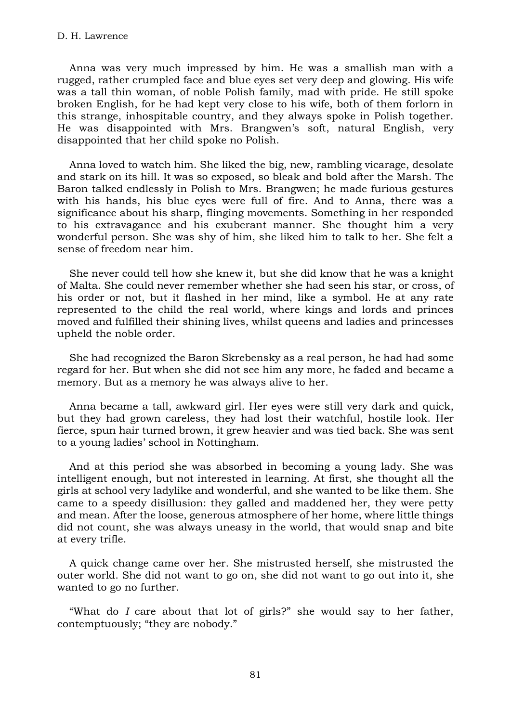Anna was very much impressed by him. He was a smallish man with a rugged, rather crumpled face and blue eyes set very deep and glowing. His wife was a tall thin woman, of noble Polish family, mad with pride. He still spoke broken English, for he had kept very close to his wife, both of them forlorn in this strange, inhospitable country, and they always spoke in Polish together. He was disappointed with Mrs. Brangwen's soft, natural English, very disappointed that her child spoke no Polish.

Anna loved to watch him. She liked the big, new, rambling vicarage, desolate and stark on its hill. It was so exposed, so bleak and bold after the Marsh. The Baron talked endlessly in Polish to Mrs. Brangwen; he made furious gestures with his hands, his blue eyes were full of fire. And to Anna, there was a significance about his sharp, flinging movements. Something in her responded to his extravagance and his exuberant manner. She thought him a very wonderful person. She was shy of him, she liked him to talk to her. She felt a sense of freedom near him.

She never could tell how she knew it, but she did know that he was a knight of Malta. She could never remember whether she had seen his star, or cross, of his order or not, but it flashed in her mind, like a symbol. He at any rate represented to the child the real world, where kings and lords and princes moved and fulfilled their shining lives, whilst queens and ladies and princesses upheld the noble order.

She had recognized the Baron Skrebensky as a real person, he had had some regard for her. But when she did not see him any more, he faded and became a memory. But as a memory he was always alive to her.

Anna became a tall, awkward girl. Her eyes were still very dark and quick, but they had grown careless, they had lost their watchful, hostile look. Her fierce, spun hair turned brown, it grew heavier and was tied back. She was sent to a young ladies' school in Nottingham.

And at this period she was absorbed in becoming a young lady. She was intelligent enough, but not interested in learning. At first, she thought all the girls at school very ladylike and wonderful, and she wanted to be like them. She came to a speedy disillusion: they galled and maddened her, they were petty and mean. After the loose, generous atmosphere of her home, where little things did not count, she was always uneasy in the world, that would snap and bite at every trifle.

A quick change came over her. She mistrusted herself, she mistrusted the outer world. She did not want to go on, she did not want to go out into it, she wanted to go no further.

"What do *I* care about that lot of girls?" she would say to her father, contemptuously; "they are nobody."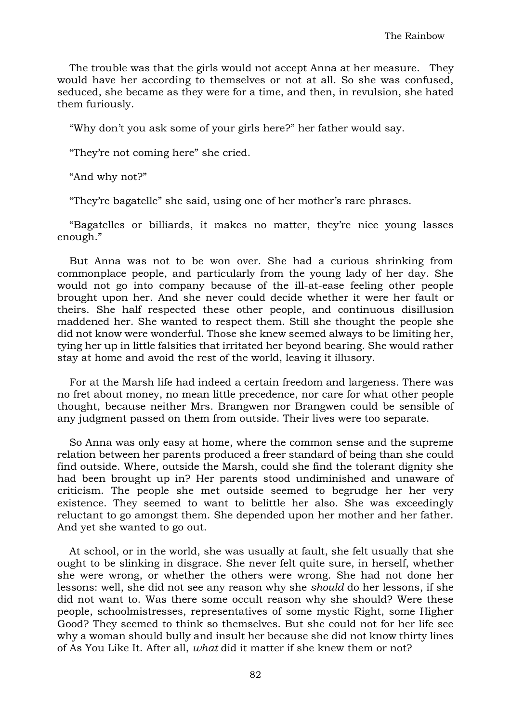The trouble was that the girls would not accept Anna at her measure. They would have her according to themselves or not at all. So she was confused, seduced, she became as they were for a time, and then, in revulsion, she hated them furiously.

"Why don't you ask some of your girls here?" her father would say.

"They're not coming here" she cried.

"And why not?"

"They're bagatelle" she said, using one of her mother's rare phrases.

"Bagatelles or billiards, it makes no matter, they're nice young lasses enough."

But Anna was not to be won over. She had a curious shrinking from commonplace people, and particularly from the young lady of her day. She would not go into company because of the ill-at-ease feeling other people brought upon her. And she never could decide whether it were her fault or theirs. She half respected these other people, and continuous disillusion maddened her. She wanted to respect them. Still she thought the people she did not know were wonderful. Those she knew seemed always to be limiting her, tying her up in little falsities that irritated her beyond bearing. She would rather stay at home and avoid the rest of the world, leaving it illusory.

For at the Marsh life had indeed a certain freedom and largeness. There was no fret about money, no mean little precedence, nor care for what other people thought, because neither Mrs. Brangwen nor Brangwen could be sensible of any judgment passed on them from outside. Their lives were too separate.

So Anna was only easy at home, where the common sense and the supreme relation between her parents produced a freer standard of being than she could find outside. Where, outside the Marsh, could she find the tolerant dignity she had been brought up in? Her parents stood undiminished and unaware of criticism. The people she met outside seemed to begrudge her her very existence. They seemed to want to belittle her also. She was exceedingly reluctant to go amongst them. She depended upon her mother and her father. And yet she wanted to go out.

At school, or in the world, she was usually at fault, she felt usually that she ought to be slinking in disgrace. She never felt quite sure, in herself, whether she were wrong, or whether the others were wrong. She had not done her lessons: well, she did not see any reason why she *should* do her lessons, if she did not want to. Was there some occult reason why she should? Were these people, schoolmistresses, representatives of some mystic Right, some Higher Good? They seemed to think so themselves. But she could not for her life see why a woman should bully and insult her because she did not know thirty lines of As You Like It. After all, *what* did it matter if she knew them or not?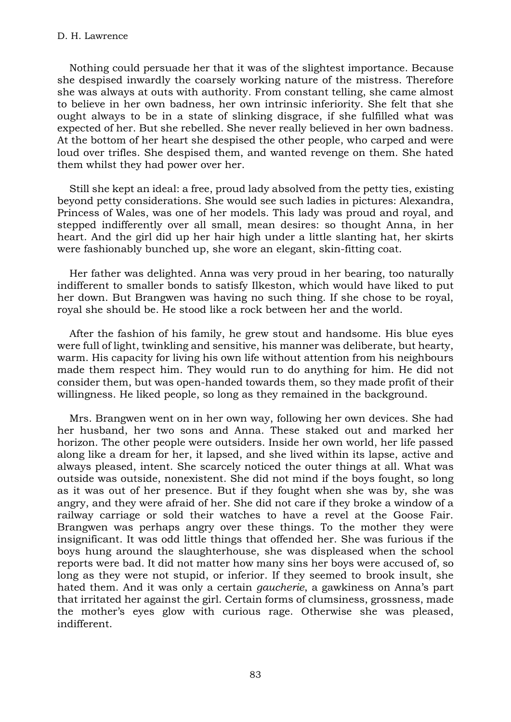Nothing could persuade her that it was of the slightest importance. Because she despised inwardly the coarsely working nature of the mistress. Therefore she was always at outs with authority. From constant telling, she came almost to believe in her own badness, her own intrinsic inferiority. She felt that she ought always to be in a state of slinking disgrace, if she fulfilled what was expected of her. But she rebelled. She never really believed in her own badness. At the bottom of her heart she despised the other people, who carped and were loud over trifles. She despised them, and wanted revenge on them. She hated them whilst they had power over her.

Still she kept an ideal: a free, proud lady absolved from the petty ties, existing beyond petty considerations. She would see such ladies in pictures: Alexandra, Princess of Wales, was one of her models. This lady was proud and royal, and stepped indifferently over all small, mean desires: so thought Anna, in her heart. And the girl did up her hair high under a little slanting hat, her skirts were fashionably bunched up, she wore an elegant, skin-fitting coat.

Her father was delighted. Anna was very proud in her bearing, too naturally indifferent to smaller bonds to satisfy Ilkeston, which would have liked to put her down. But Brangwen was having no such thing. If she chose to be royal, royal she should be. He stood like a rock between her and the world.

After the fashion of his family, he grew stout and handsome. His blue eyes were full of light, twinkling and sensitive, his manner was deliberate, but hearty, warm. His capacity for living his own life without attention from his neighbours made them respect him. They would run to do anything for him. He did not consider them, but was open-handed towards them, so they made profit of their willingness. He liked people, so long as they remained in the background.

Mrs. Brangwen went on in her own way, following her own devices. She had her husband, her two sons and Anna. These staked out and marked her horizon. The other people were outsiders. Inside her own world, her life passed along like a dream for her, it lapsed, and she lived within its lapse, active and always pleased, intent. She scarcely noticed the outer things at all. What was outside was outside, nonexistent. She did not mind if the boys fought, so long as it was out of her presence. But if they fought when she was by, she was angry, and they were afraid of her. She did not care if they broke a window of a railway carriage or sold their watches to have a revel at the Goose Fair. Brangwen was perhaps angry over these things. To the mother they were insignificant. It was odd little things that offended her. She was furious if the boys hung around the slaughterhouse, she was displeased when the school reports were bad. It did not matter how many sins her boys were accused of, so long as they were not stupid, or inferior. If they seemed to brook insult, she hated them. And it was only a certain *gaucherie*, a gawkiness on Anna's part that irritated her against the girl. Certain forms of clumsiness, grossness, made the mother's eyes glow with curious rage. Otherwise she was pleased, indifferent.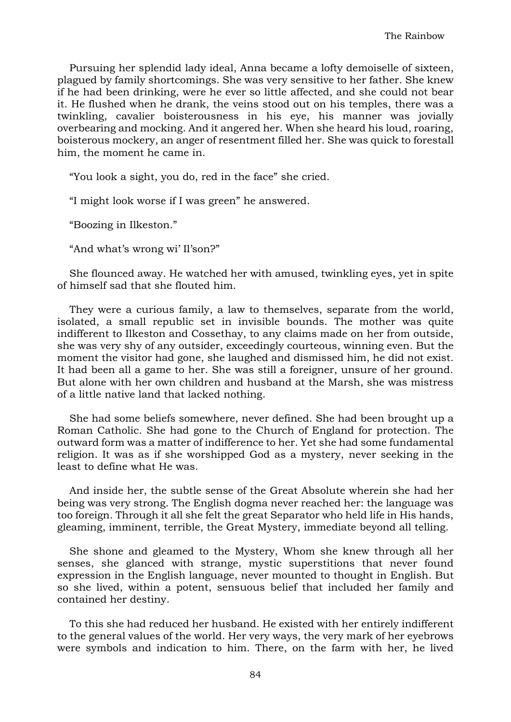Pursuing her splendid lady ideal, Anna became a lofty demoiselle of sixteen, plagued by family shortcomings. She was very sensitive to her father. She knew if he had been drinking, were he ever so little affected, and she could not bear it. He flushed when he drank, the veins stood out on his temples, there was a twinkling, cavalier boisterousness in his eye, his manner was jovially overbearing and mocking. And it angered her. When she heard his loud, roaring, boisterous mockery, an anger of resentment filled her. She was quick to forestall him, the moment he came in.

"You look a sight, you do, red in the face" she cried.

"I might look worse if I was green" he answered.

"Boozing in Ilkeston."

"And what's wrong wi' Il'son?"

She flounced away. He watched her with amused, twinkling eyes, yet in spite of himself sad that she flouted him.

They were a curious family, a law to themselves, separate from the world, isolated, a small republic set in invisible bounds. The mother was quite indifferent to Ilkeston and Cossethay, to any claims made on her from outside, she was very shy of any outsider, exceedingly courteous, winning even. But the moment the visitor had gone, she laughed and dismissed him, he did not exist. It had been all a game to her. She was still a foreigner, unsure of her ground. But alone with her own children and husband at the Marsh, she was mistress of a little native land that lacked nothing.

She had some beliefs somewhere, never defined. She had been brought up a Roman Catholic. She had gone to the Church of England for protection. The outward form was a matter of indifference to her. Yet she had some fundamental religion. It was as if she worshipped God as a mystery, never seeking in the least to define what He was.

And inside her, the subtle sense of the Great Absolute wherein she had her being was very strong. The English dogma never reached her: the language was too foreign. Through it all she felt the great Separator who held life in His hands, gleaming, imminent, terrible, the Great Mystery, immediate beyond all telling.

She shone and gleamed to the Mystery, Whom she knew through all her senses, she glanced with strange, mystic superstitions that never found expression in the English language, never mounted to thought in English. But so she lived, within a potent, sensuous belief that included her family and contained her destiny.

To this she had reduced her husband. He existed with her entirely indifferent to the general values of the world. Her very ways, the very mark of her eyebrows were symbols and indication to him. There, on the farm with her, he lived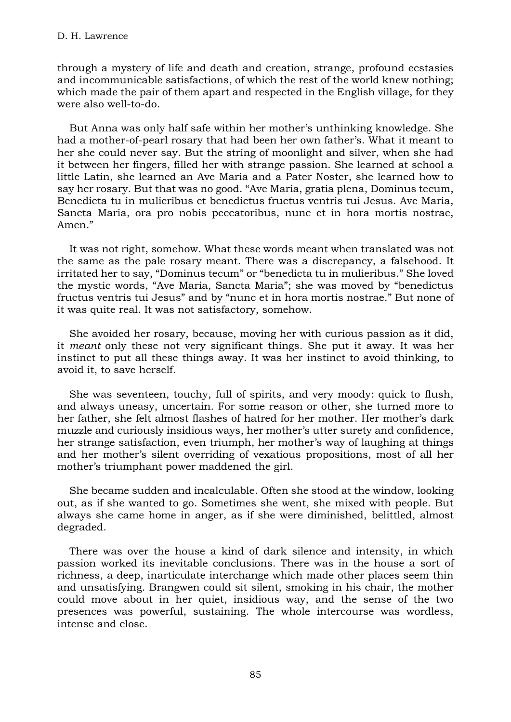through a mystery of life and death and creation, strange, profound ecstasies and incommunicable satisfactions, of which the rest of the world knew nothing; which made the pair of them apart and respected in the English village, for they were also well-to-do.

But Anna was only half safe within her mother's unthinking knowledge. She had a mother-of-pearl rosary that had been her own father's. What it meant to her she could never say. But the string of moonlight and silver, when she had it between her fingers, filled her with strange passion. She learned at school a little Latin, she learned an Ave Maria and a Pater Noster, she learned how to say her rosary. But that was no good. "Ave Maria, gratia plena, Dominus tecum, Benedicta tu in mulieribus et benedictus fructus ventris tui Jesus. Ave Maria, Sancta Maria, ora pro nobis peccatoribus, nunc et in hora mortis nostrae, Amen."

It was not right, somehow. What these words meant when translated was not the same as the pale rosary meant. There was a discrepancy, a falsehood. It irritated her to say, "Dominus tecum" or "benedicta tu in mulieribus." She loved the mystic words, "Ave Maria, Sancta Maria"; she was moved by "benedictus fructus ventris tui Jesus" and by "nunc et in hora mortis nostrae." But none of it was quite real. It was not satisfactory, somehow.

She avoided her rosary, because, moving her with curious passion as it did, it *meant* only these not very significant things. She put it away. It was her instinct to put all these things away. It was her instinct to avoid thinking, to avoid it, to save herself.

She was seventeen, touchy, full of spirits, and very moody: quick to flush, and always uneasy, uncertain. For some reason or other, she turned more to her father, she felt almost flashes of hatred for her mother. Her mother's dark muzzle and curiously insidious ways, her mother's utter surety and confidence, her strange satisfaction, even triumph, her mother's way of laughing at things and her mother's silent overriding of vexatious propositions, most of all her mother's triumphant power maddened the girl.

She became sudden and incalculable. Often she stood at the window, looking out, as if she wanted to go. Sometimes she went, she mixed with people. But always she came home in anger, as if she were diminished, belittled, almost degraded.

There was over the house a kind of dark silence and intensity, in which passion worked its inevitable conclusions. There was in the house a sort of richness, a deep, inarticulate interchange which made other places seem thin and unsatisfying. Brangwen could sit silent, smoking in his chair, the mother could move about in her quiet, insidious way, and the sense of the two presences was powerful, sustaining. The whole intercourse was wordless, intense and close.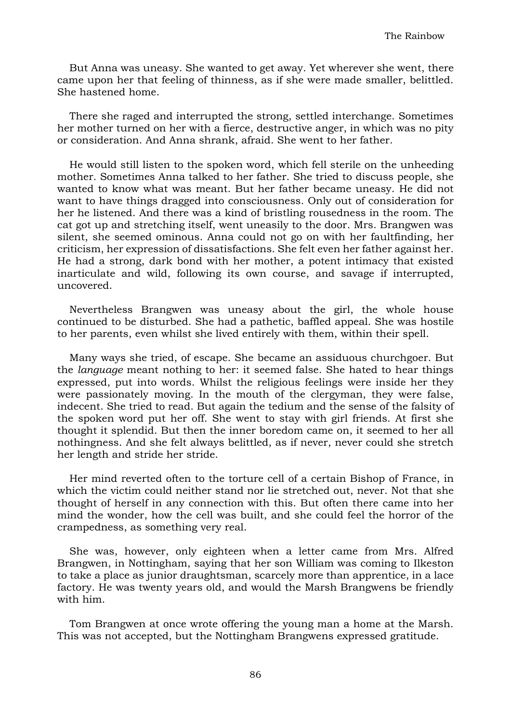But Anna was uneasy. She wanted to get away. Yet wherever she went, there came upon her that feeling of thinness, as if she were made smaller, belittled. She hastened home.

There she raged and interrupted the strong, settled interchange. Sometimes her mother turned on her with a fierce, destructive anger, in which was no pity or consideration. And Anna shrank, afraid. She went to her father.

He would still listen to the spoken word, which fell sterile on the unheeding mother. Sometimes Anna talked to her father. She tried to discuss people, she wanted to know what was meant. But her father became uneasy. He did not want to have things dragged into consciousness. Only out of consideration for her he listened. And there was a kind of bristling rousedness in the room. The cat got up and stretching itself, went uneasily to the door. Mrs. Brangwen was silent, she seemed ominous. Anna could not go on with her faultfinding, her criticism, her expression of dissatisfactions. She felt even her father against her. He had a strong, dark bond with her mother, a potent intimacy that existed inarticulate and wild, following its own course, and savage if interrupted, uncovered.

Nevertheless Brangwen was uneasy about the girl, the whole house continued to be disturbed. She had a pathetic, baffled appeal. She was hostile to her parents, even whilst she lived entirely with them, within their spell.

Many ways she tried, of escape. She became an assiduous churchgoer. But the *language* meant nothing to her: it seemed false. She hated to hear things expressed, put into words. Whilst the religious feelings were inside her they were passionately moving. In the mouth of the clergyman, they were false, indecent. She tried to read. But again the tedium and the sense of the falsity of the spoken word put her off. She went to stay with girl friends. At first she thought it splendid. But then the inner boredom came on, it seemed to her all nothingness. And she felt always belittled, as if never, never could she stretch her length and stride her stride.

Her mind reverted often to the torture cell of a certain Bishop of France, in which the victim could neither stand nor lie stretched out, never. Not that she thought of herself in any connection with this. But often there came into her mind the wonder, how the cell was built, and she could feel the horror of the crampedness, as something very real.

She was, however, only eighteen when a letter came from Mrs. Alfred Brangwen, in Nottingham, saying that her son William was coming to Ilkeston to take a place as junior draughtsman, scarcely more than apprentice, in a lace factory. He was twenty years old, and would the Marsh Brangwens be friendly with him.

Tom Brangwen at once wrote offering the young man a home at the Marsh. This was not accepted, but the Nottingham Brangwens expressed gratitude.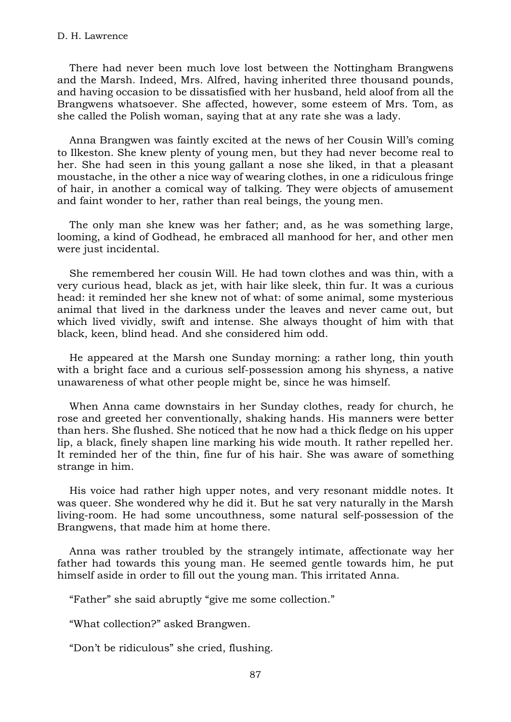## D. H. Lawrence

There had never been much love lost between the Nottingham Brangwens and the Marsh. Indeed, Mrs. Alfred, having inherited three thousand pounds, and having occasion to be dissatisfied with her husband, held aloof from all the Brangwens whatsoever. She affected, however, some esteem of Mrs. Tom, as she called the Polish woman, saying that at any rate she was a lady.

Anna Brangwen was faintly excited at the news of her Cousin Will's coming to Ilkeston. She knew plenty of young men, but they had never become real to her. She had seen in this young gallant a nose she liked, in that a pleasant moustache, in the other a nice way of wearing clothes, in one a ridiculous fringe of hair, in another a comical way of talking. They were objects of amusement and faint wonder to her, rather than real beings, the young men.

The only man she knew was her father; and, as he was something large, looming, a kind of Godhead, he embraced all manhood for her, and other men were just incidental.

She remembered her cousin Will. He had town clothes and was thin, with a very curious head, black as jet, with hair like sleek, thin fur. It was a curious head: it reminded her she knew not of what: of some animal, some mysterious animal that lived in the darkness under the leaves and never came out, but which lived vividly, swift and intense. She always thought of him with that black, keen, blind head. And she considered him odd.

He appeared at the Marsh one Sunday morning: a rather long, thin youth with a bright face and a curious self-possession among his shyness, a native unawareness of what other people might be, since he was himself.

When Anna came downstairs in her Sunday clothes, ready for church, he rose and greeted her conventionally, shaking hands. His manners were better than hers. She flushed. She noticed that he now had a thick fledge on his upper lip, a black, finely shapen line marking his wide mouth. It rather repelled her. It reminded her of the thin, fine fur of his hair. She was aware of something strange in him.

His voice had rather high upper notes, and very resonant middle notes. It was queer. She wondered why he did it. But he sat very naturally in the Marsh living-room. He had some uncouthness, some natural self-possession of the Brangwens, that made him at home there.

Anna was rather troubled by the strangely intimate, affectionate way her father had towards this young man. He seemed gentle towards him, he put himself aside in order to fill out the young man. This irritated Anna.

"Father" she said abruptly "give me some collection."

"What collection?" asked Brangwen.

"Don't be ridiculous" she cried, flushing.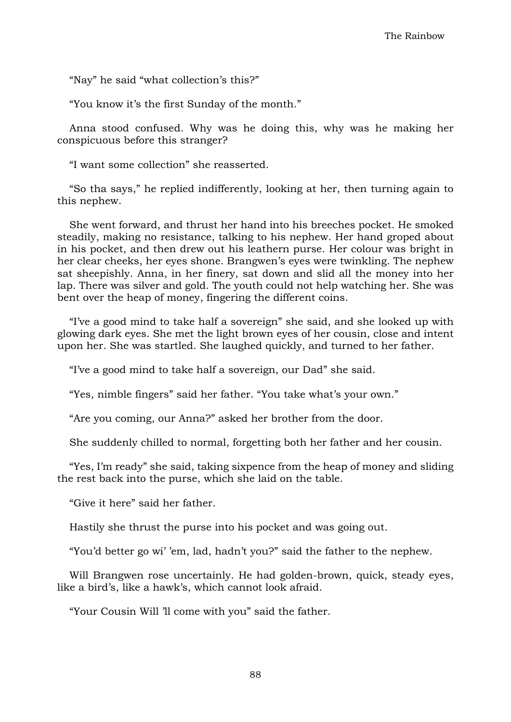"Nay" he said "what collection's this?"

"You know it's the first Sunday of the month."

Anna stood confused. Why was he doing this, why was he making her conspicuous before this stranger?

"I want some collection" she reasserted.

"So tha says," he replied indifferently, looking at her, then turning again to this nephew.

She went forward, and thrust her hand into his breeches pocket. He smoked steadily, making no resistance, talking to his nephew. Her hand groped about in his pocket, and then drew out his leathern purse. Her colour was bright in her clear cheeks, her eyes shone. Brangwen's eyes were twinkling. The nephew sat sheepishly. Anna, in her finery, sat down and slid all the money into her lap. There was silver and gold. The youth could not help watching her. She was bent over the heap of money, fingering the different coins.

"I've a good mind to take half a sovereign" she said, and she looked up with glowing dark eyes. She met the light brown eyes of her cousin, close and intent upon her. She was startled. She laughed quickly, and turned to her father.

"I've a good mind to take half a sovereign, our Dad" she said.

"Yes, nimble fingers" said her father. "You take what's your own."

"Are you coming, our Anna?" asked her brother from the door.

She suddenly chilled to normal, forgetting both her father and her cousin.

"Yes, I'm ready" she said, taking sixpence from the heap of money and sliding the rest back into the purse, which she laid on the table.

"Give it here" said her father.

Hastily she thrust the purse into his pocket and was going out.

"You'd better go wi' 'em, lad, hadn't you?" said the father to the nephew.

Will Brangwen rose uncertainly. He had golden-brown, quick, steady eyes, like a bird's, like a hawk's, which cannot look afraid.

"Your Cousin Will 'll come with you" said the father.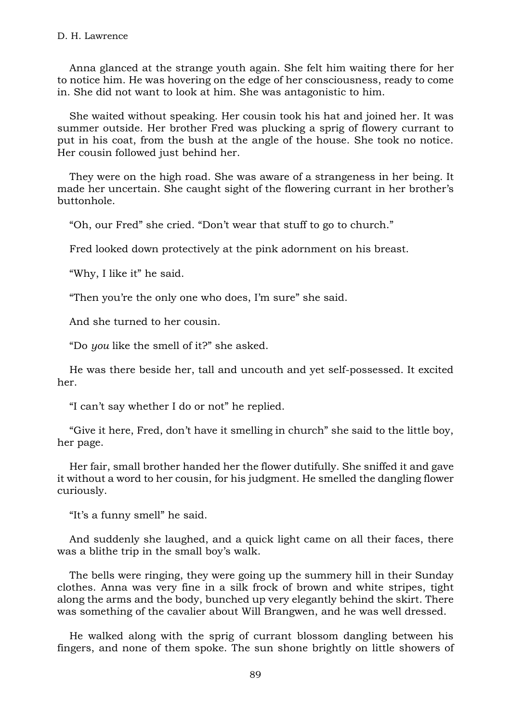Anna glanced at the strange youth again. She felt him waiting there for her to notice him. He was hovering on the edge of her consciousness, ready to come in. She did not want to look at him. She was antagonistic to him.

She waited without speaking. Her cousin took his hat and joined her. It was summer outside. Her brother Fred was plucking a sprig of flowery currant to put in his coat, from the bush at the angle of the house. She took no notice. Her cousin followed just behind her.

They were on the high road. She was aware of a strangeness in her being. It made her uncertain. She caught sight of the flowering currant in her brother's buttonhole.

"Oh, our Fred" she cried. "Don't wear that stuff to go to church."

Fred looked down protectively at the pink adornment on his breast.

"Why, I like it" he said.

"Then you're the only one who does, I'm sure" she said.

And she turned to her cousin.

"Do *you* like the smell of it?" she asked.

He was there beside her, tall and uncouth and yet self-possessed. It excited her.

"I can't say whether I do or not" he replied.

"Give it here, Fred, don't have it smelling in church" she said to the little boy, her page.

Her fair, small brother handed her the flower dutifully. She sniffed it and gave it without a word to her cousin, for his judgment. He smelled the dangling flower curiously.

"It's a funny smell" he said.

And suddenly she laughed, and a quick light came on all their faces, there was a blithe trip in the small boy's walk.

The bells were ringing, they were going up the summery hill in their Sunday clothes. Anna was very fine in a silk frock of brown and white stripes, tight along the arms and the body, bunched up very elegantly behind the skirt. There was something of the cavalier about Will Brangwen, and he was well dressed.

He walked along with the sprig of currant blossom dangling between his fingers, and none of them spoke. The sun shone brightly on little showers of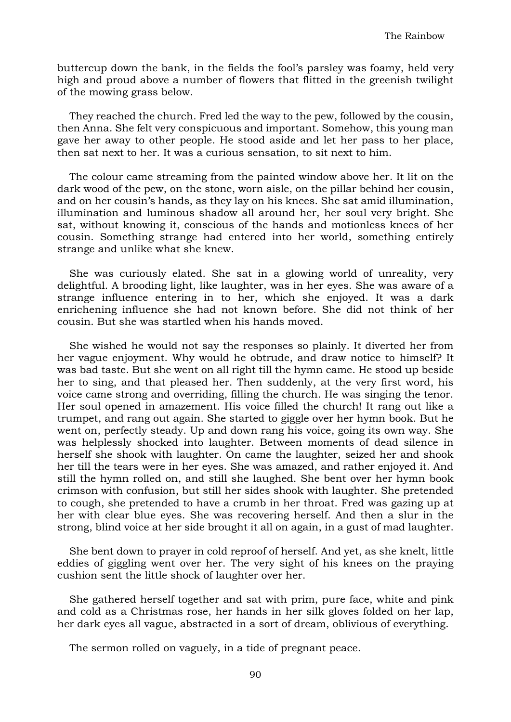buttercup down the bank, in the fields the fool's parsley was foamy, held very high and proud above a number of flowers that flitted in the greenish twilight of the mowing grass below.

They reached the church. Fred led the way to the pew, followed by the cousin, then Anna. She felt very conspicuous and important. Somehow, this young man gave her away to other people. He stood aside and let her pass to her place, then sat next to her. It was a curious sensation, to sit next to him.

The colour came streaming from the painted window above her. It lit on the dark wood of the pew, on the stone, worn aisle, on the pillar behind her cousin, and on her cousin's hands, as they lay on his knees. She sat amid illumination, illumination and luminous shadow all around her, her soul very bright. She sat, without knowing it, conscious of the hands and motionless knees of her cousin. Something strange had entered into her world, something entirely strange and unlike what she knew.

She was curiously elated. She sat in a glowing world of unreality, very delightful. A brooding light, like laughter, was in her eyes. She was aware of a strange influence entering in to her, which she enjoyed. It was a dark enrichening influence she had not known before. She did not think of her cousin. But she was startled when his hands moved.

She wished he would not say the responses so plainly. It diverted her from her vague enjoyment. Why would he obtrude, and draw notice to himself? It was bad taste. But she went on all right till the hymn came. He stood up beside her to sing, and that pleased her. Then suddenly, at the very first word, his voice came strong and overriding, filling the church. He was singing the tenor. Her soul opened in amazement. His voice filled the church! It rang out like a trumpet, and rang out again. She started to giggle over her hymn book. But he went on, perfectly steady. Up and down rang his voice, going its own way. She was helplessly shocked into laughter. Between moments of dead silence in herself she shook with laughter. On came the laughter, seized her and shook her till the tears were in her eyes. She was amazed, and rather enjoyed it. And still the hymn rolled on, and still she laughed. She bent over her hymn book crimson with confusion, but still her sides shook with laughter. She pretended to cough, she pretended to have a crumb in her throat. Fred was gazing up at her with clear blue eyes. She was recovering herself. And then a slur in the strong, blind voice at her side brought it all on again, in a gust of mad laughter.

She bent down to prayer in cold reproof of herself. And yet, as she knelt, little eddies of giggling went over her. The very sight of his knees on the praying cushion sent the little shock of laughter over her.

She gathered herself together and sat with prim, pure face, white and pink and cold as a Christmas rose, her hands in her silk gloves folded on her lap, her dark eyes all vague, abstracted in a sort of dream, oblivious of everything.

The sermon rolled on vaguely, in a tide of pregnant peace.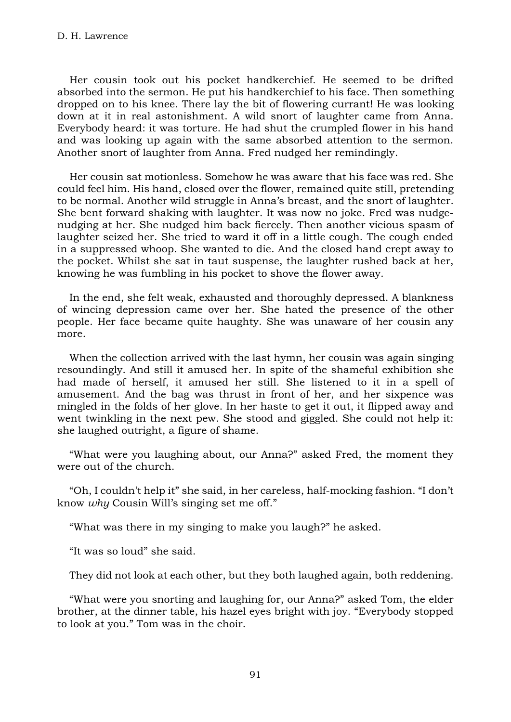Her cousin took out his pocket handkerchief. He seemed to be drifted absorbed into the sermon. He put his handkerchief to his face. Then something dropped on to his knee. There lay the bit of flowering currant! He was looking down at it in real astonishment. A wild snort of laughter came from Anna. Everybody heard: it was torture. He had shut the crumpled flower in his hand and was looking up again with the same absorbed attention to the sermon. Another snort of laughter from Anna. Fred nudged her remindingly.

Her cousin sat motionless. Somehow he was aware that his face was red. She could feel him. His hand, closed over the flower, remained quite still, pretending to be normal. Another wild struggle in Anna's breast, and the snort of laughter. She bent forward shaking with laughter. It was now no joke. Fred was nudgenudging at her. She nudged him back fiercely. Then another vicious spasm of laughter seized her. She tried to ward it off in a little cough. The cough ended in a suppressed whoop. She wanted to die. And the closed hand crept away to the pocket. Whilst she sat in taut suspense, the laughter rushed back at her, knowing he was fumbling in his pocket to shove the flower away.

In the end, she felt weak, exhausted and thoroughly depressed. A blankness of wincing depression came over her. She hated the presence of the other people. Her face became quite haughty. She was unaware of her cousin any more.

When the collection arrived with the last hymn, her cousin was again singing resoundingly. And still it amused her. In spite of the shameful exhibition she had made of herself, it amused her still. She listened to it in a spell of amusement. And the bag was thrust in front of her, and her sixpence was mingled in the folds of her glove. In her haste to get it out, it flipped away and went twinkling in the next pew. She stood and giggled. She could not help it: she laughed outright, a figure of shame.

"What were you laughing about, our Anna?" asked Fred, the moment they were out of the church.

"Oh, I couldn't help it" she said, in her careless, half-mocking fashion. "I don't know *why* Cousin Will's singing set me off."

"What was there in my singing to make you laugh?" he asked.

"It was so loud" she said.

They did not look at each other, but they both laughed again, both reddening.

"What were you snorting and laughing for, our Anna?" asked Tom, the elder brother, at the dinner table, his hazel eyes bright with joy. "Everybody stopped to look at you." Tom was in the choir.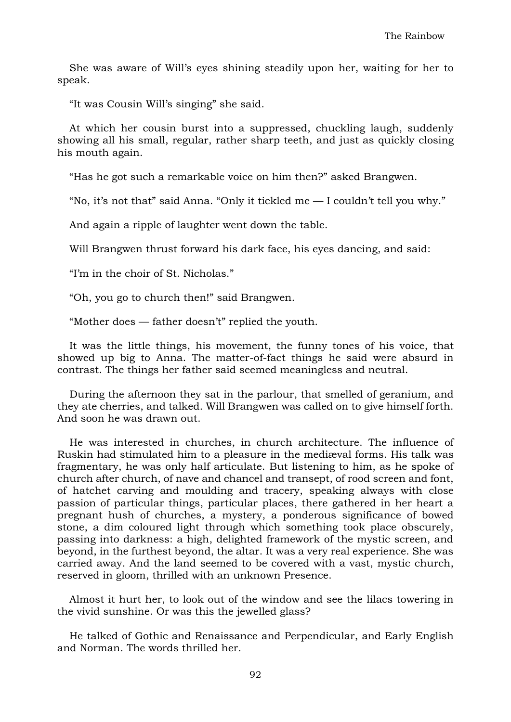She was aware of Will's eyes shining steadily upon her, waiting for her to speak.

"It was Cousin Will's singing" she said.

At which her cousin burst into a suppressed, chuckling laugh, suddenly showing all his small, regular, rather sharp teeth, and just as quickly closing his mouth again.

"Has he got such a remarkable voice on him then?" asked Brangwen.

"No, it's not that" said Anna. "Only it tickled me  $-$  I couldn't tell you why."

And again a ripple of laughter went down the table.

Will Brangwen thrust forward his dark face, his eyes dancing, and said:

"I'm in the choir of St. Nicholas."

"Oh, you go to church then!" said Brangwen.

"Mother does — father doesn't" replied the youth.

It was the little things, his movement, the funny tones of his voice, that showed up big to Anna. The matter-of-fact things he said were absurd in contrast. The things her father said seemed meaningless and neutral.

During the afternoon they sat in the parlour, that smelled of geranium, and they ate cherries, and talked. Will Brangwen was called on to give himself forth. And soon he was drawn out.

He was interested in churches, in church architecture. The influence of Ruskin had stimulated him to a pleasure in the mediæval forms. His talk was fragmentary, he was only half articulate. But listening to him, as he spoke of church after church, of nave and chancel and transept, of rood screen and font, of hatchet carving and moulding and tracery, speaking always with close passion of particular things, particular places, there gathered in her heart a pregnant hush of churches, a mystery, a ponderous significance of bowed stone, a dim coloured light through which something took place obscurely, passing into darkness: a high, delighted framework of the mystic screen, and beyond, in the furthest beyond, the altar. It was a very real experience. She was carried away. And the land seemed to be covered with a vast, mystic church, reserved in gloom, thrilled with an unknown Presence.

Almost it hurt her, to look out of the window and see the lilacs towering in the vivid sunshine. Or was this the jewelled glass?

He talked of Gothic and Renaissance and Perpendicular, and Early English and Norman. The words thrilled her.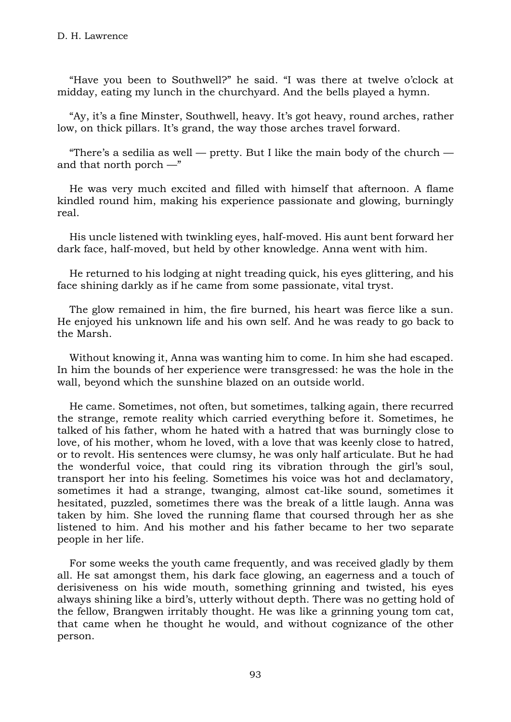"Have you been to Southwell?" he said. "I was there at twelve o'clock at midday, eating my lunch in the churchyard. And the bells played a hymn.

"Ay, it's a fine Minster, Southwell, heavy. It's got heavy, round arches, rather low, on thick pillars. It's grand, the way those arches travel forward.

"There's a sedilia as well — pretty. But I like the main body of the church and that north porch  $-$ "

He was very much excited and filled with himself that afternoon. A flame kindled round him, making his experience passionate and glowing, burningly real.

His uncle listened with twinkling eyes, half-moved. His aunt bent forward her dark face, half-moved, but held by other knowledge. Anna went with him.

He returned to his lodging at night treading quick, his eyes glittering, and his face shining darkly as if he came from some passionate, vital tryst.

The glow remained in him, the fire burned, his heart was fierce like a sun. He enjoyed his unknown life and his own self. And he was ready to go back to the Marsh.

Without knowing it, Anna was wanting him to come. In him she had escaped. In him the bounds of her experience were transgressed: he was the hole in the wall, beyond which the sunshine blazed on an outside world.

He came. Sometimes, not often, but sometimes, talking again, there recurred the strange, remote reality which carried everything before it. Sometimes, he talked of his father, whom he hated with a hatred that was burningly close to love, of his mother, whom he loved, with a love that was keenly close to hatred, or to revolt. His sentences were clumsy, he was only half articulate. But he had the wonderful voice, that could ring its vibration through the girl's soul, transport her into his feeling. Sometimes his voice was hot and declamatory, sometimes it had a strange, twanging, almost cat-like sound, sometimes it hesitated, puzzled, sometimes there was the break of a little laugh. Anna was taken by him. She loved the running flame that coursed through her as she listened to him. And his mother and his father became to her two separate people in her life.

For some weeks the youth came frequently, and was received gladly by them all. He sat amongst them, his dark face glowing, an eagerness and a touch of derisiveness on his wide mouth, something grinning and twisted, his eyes always shining like a bird's, utterly without depth. There was no getting hold of the fellow, Brangwen irritably thought. He was like a grinning young tom cat, that came when he thought he would, and without cognizance of the other person.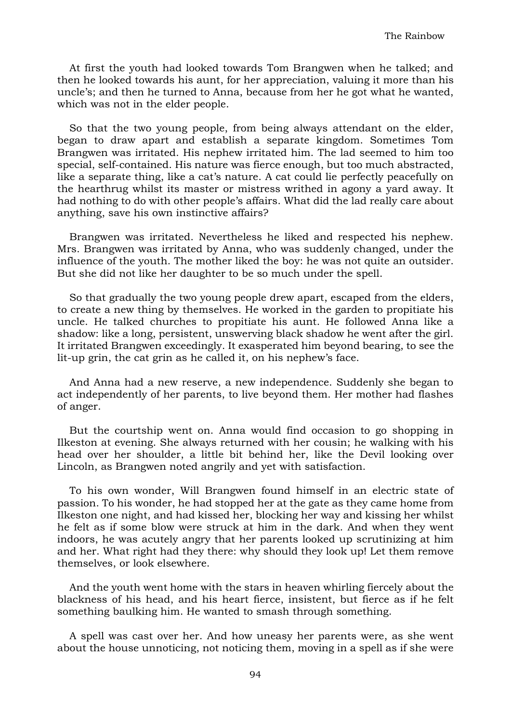At first the youth had looked towards Tom Brangwen when he talked; and then he looked towards his aunt, for her appreciation, valuing it more than his uncle's; and then he turned to Anna, because from her he got what he wanted, which was not in the elder people.

So that the two young people, from being always attendant on the elder, began to draw apart and establish a separate kingdom. Sometimes Tom Brangwen was irritated. His nephew irritated him. The lad seemed to him too special, self-contained. His nature was fierce enough, but too much abstracted, like a separate thing, like a cat's nature. A cat could lie perfectly peacefully on the hearthrug whilst its master or mistress writhed in agony a yard away. It had nothing to do with other people's affairs. What did the lad really care about anything, save his own instinctive affairs?

Brangwen was irritated. Nevertheless he liked and respected his nephew. Mrs. Brangwen was irritated by Anna, who was suddenly changed, under the influence of the youth. The mother liked the boy: he was not quite an outsider. But she did not like her daughter to be so much under the spell.

So that gradually the two young people drew apart, escaped from the elders, to create a new thing by themselves. He worked in the garden to propitiate his uncle. He talked churches to propitiate his aunt. He followed Anna like a shadow: like a long, persistent, unswerving black shadow he went after the girl. It irritated Brangwen exceedingly. It exasperated him beyond bearing, to see the lit-up grin, the cat grin as he called it, on his nephew's face.

And Anna had a new reserve, a new independence. Suddenly she began to act independently of her parents, to live beyond them. Her mother had flashes of anger.

But the courtship went on. Anna would find occasion to go shopping in Ilkeston at evening. She always returned with her cousin; he walking with his head over her shoulder, a little bit behind her, like the Devil looking over Lincoln, as Brangwen noted angrily and yet with satisfaction.

To his own wonder, Will Brangwen found himself in an electric state of passion. To his wonder, he had stopped her at the gate as they came home from Ilkeston one night, and had kissed her, blocking her way and kissing her whilst he felt as if some blow were struck at him in the dark. And when they went indoors, he was acutely angry that her parents looked up scrutinizing at him and her. What right had they there: why should they look up! Let them remove themselves, or look elsewhere.

And the youth went home with the stars in heaven whirling fiercely about the blackness of his head, and his heart fierce, insistent, but fierce as if he felt something baulking him. He wanted to smash through something.

A spell was cast over her. And how uneasy her parents were, as she went about the house unnoticing, not noticing them, moving in a spell as if she were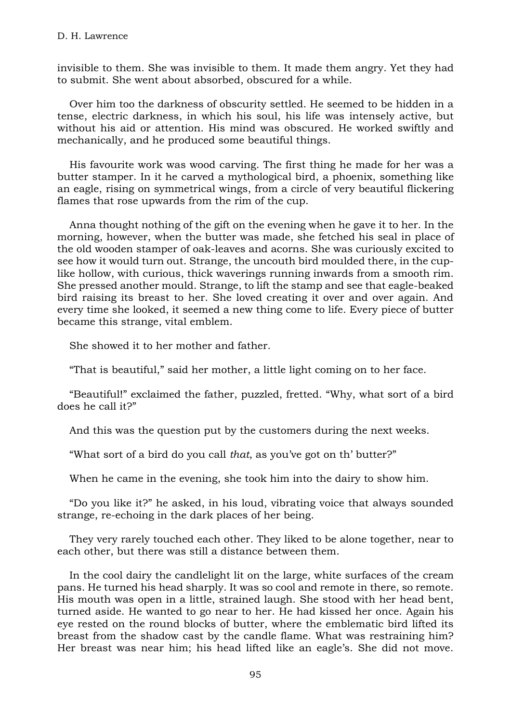invisible to them. She was invisible to them. It made them angry. Yet they had to submit. She went about absorbed, obscured for a while.

Over him too the darkness of obscurity settled. He seemed to be hidden in a tense, electric darkness, in which his soul, his life was intensely active, but without his aid or attention. His mind was obscured. He worked swiftly and mechanically, and he produced some beautiful things.

His favourite work was wood carving. The first thing he made for her was a butter stamper. In it he carved a mythological bird, a phoenix, something like an eagle, rising on symmetrical wings, from a circle of very beautiful flickering flames that rose upwards from the rim of the cup.

Anna thought nothing of the gift on the evening when he gave it to her. In the morning, however, when the butter was made, she fetched his seal in place of the old wooden stamper of oak-leaves and acorns. She was curiously excited to see how it would turn out. Strange, the uncouth bird moulded there, in the cuplike hollow, with curious, thick waverings running inwards from a smooth rim. She pressed another mould. Strange, to lift the stamp and see that eagle-beaked bird raising its breast to her. She loved creating it over and over again. And every time she looked, it seemed a new thing come to life. Every piece of butter became this strange, vital emblem.

She showed it to her mother and father.

"That is beautiful," said her mother, a little light coming on to her face.

"Beautiful!" exclaimed the father, puzzled, fretted. "Why, what sort of a bird does he call it?"

And this was the question put by the customers during the next weeks.

"What sort of a bird do you call *that*, as you've got on th' butter?"

When he came in the evening, she took him into the dairy to show him.

"Do you like it?" he asked, in his loud, vibrating voice that always sounded strange, re-echoing in the dark places of her being.

They very rarely touched each other. They liked to be alone together, near to each other, but there was still a distance between them.

In the cool dairy the candlelight lit on the large, white surfaces of the cream pans. He turned his head sharply. It was so cool and remote in there, so remote. His mouth was open in a little, strained laugh. She stood with her head bent, turned aside. He wanted to go near to her. He had kissed her once. Again his eye rested on the round blocks of butter, where the emblematic bird lifted its breast from the shadow cast by the candle flame. What was restraining him? Her breast was near him; his head lifted like an eagle's. She did not move.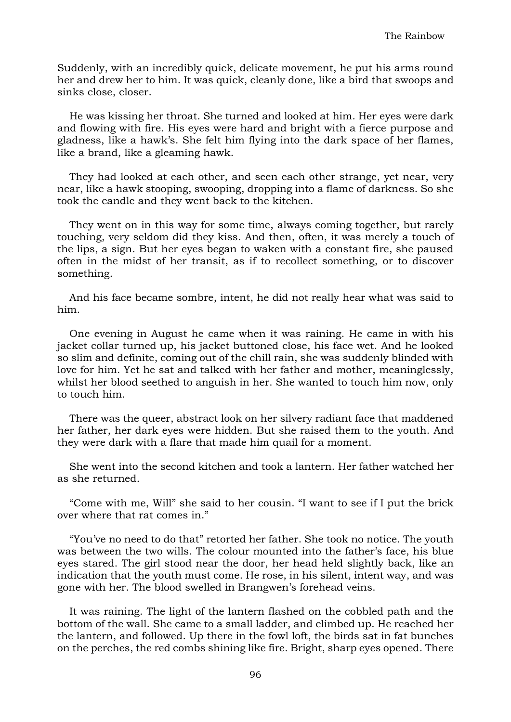Suddenly, with an incredibly quick, delicate movement, he put his arms round her and drew her to him. It was quick, cleanly done, like a bird that swoops and sinks close, closer.

He was kissing her throat. She turned and looked at him. Her eyes were dark and flowing with fire. His eyes were hard and bright with a fierce purpose and gladness, like a hawk's. She felt him flying into the dark space of her flames, like a brand, like a gleaming hawk.

They had looked at each other, and seen each other strange, yet near, very near, like a hawk stooping, swooping, dropping into a flame of darkness. So she took the candle and they went back to the kitchen.

They went on in this way for some time, always coming together, but rarely touching, very seldom did they kiss. And then, often, it was merely a touch of the lips, a sign. But her eyes began to waken with a constant fire, she paused often in the midst of her transit, as if to recollect something, or to discover something.

And his face became sombre, intent, he did not really hear what was said to him.

One evening in August he came when it was raining. He came in with his jacket collar turned up, his jacket buttoned close, his face wet. And he looked so slim and definite, coming out of the chill rain, she was suddenly blinded with love for him. Yet he sat and talked with her father and mother, meaninglessly, whilst her blood seethed to anguish in her. She wanted to touch him now, only to touch him.

There was the queer, abstract look on her silvery radiant face that maddened her father, her dark eyes were hidden. But she raised them to the youth. And they were dark with a flare that made him quail for a moment.

She went into the second kitchen and took a lantern. Her father watched her as she returned.

"Come with me, Will" she said to her cousin. "I want to see if I put the brick over where that rat comes in."

"You've no need to do that" retorted her father. She took no notice. The youth was between the two wills. The colour mounted into the father's face, his blue eyes stared. The girl stood near the door, her head held slightly back, like an indication that the youth must come. He rose, in his silent, intent way, and was gone with her. The blood swelled in Brangwen's forehead veins.

It was raining. The light of the lantern flashed on the cobbled path and the bottom of the wall. She came to a small ladder, and climbed up. He reached her the lantern, and followed. Up there in the fowl loft, the birds sat in fat bunches on the perches, the red combs shining like fire. Bright, sharp eyes opened. There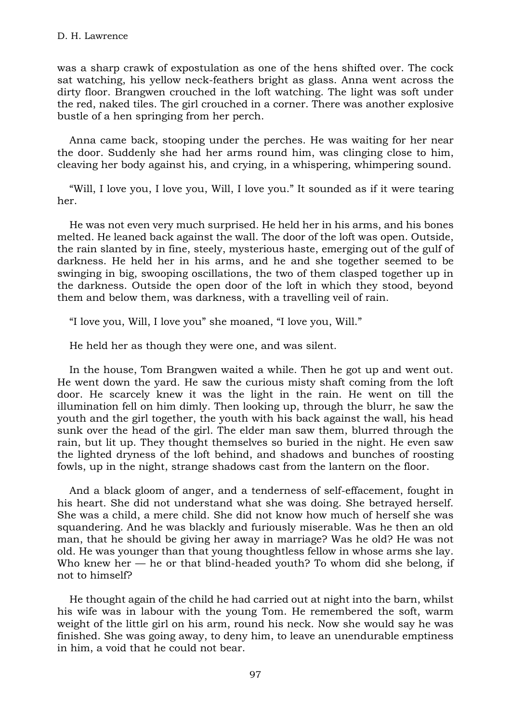was a sharp crawk of expostulation as one of the hens shifted over. The cock sat watching, his yellow neck-feathers bright as glass. Anna went across the dirty floor. Brangwen crouched in the loft watching. The light was soft under the red, naked tiles. The girl crouched in a corner. There was another explosive bustle of a hen springing from her perch.

Anna came back, stooping under the perches. He was waiting for her near the door. Suddenly she had her arms round him, was clinging close to him, cleaving her body against his, and crying, in a whispering, whimpering sound.

"Will, I love you, I love you, Will, I love you." It sounded as if it were tearing her.

He was not even very much surprised. He held her in his arms, and his bones melted. He leaned back against the wall. The door of the loft was open. Outside, the rain slanted by in fine, steely, mysterious haste, emerging out of the gulf of darkness. He held her in his arms, and he and she together seemed to be swinging in big, swooping oscillations, the two of them clasped together up in the darkness. Outside the open door of the loft in which they stood, beyond them and below them, was darkness, with a travelling veil of rain.

"I love you, Will, I love you" she moaned, "I love you, Will."

He held her as though they were one, and was silent.

In the house, Tom Brangwen waited a while. Then he got up and went out. He went down the yard. He saw the curious misty shaft coming from the loft door. He scarcely knew it was the light in the rain. He went on till the illumination fell on him dimly. Then looking up, through the blurr, he saw the youth and the girl together, the youth with his back against the wall, his head sunk over the head of the girl. The elder man saw them, blurred through the rain, but lit up. They thought themselves so buried in the night. He even saw the lighted dryness of the loft behind, and shadows and bunches of roosting fowls, up in the night, strange shadows cast from the lantern on the floor.

And a black gloom of anger, and a tenderness of self-effacement, fought in his heart. She did not understand what she was doing. She betrayed herself. She was a child, a mere child. She did not know how much of herself she was squandering. And he was blackly and furiously miserable. Was he then an old man, that he should be giving her away in marriage? Was he old? He was not old. He was younger than that young thoughtless fellow in whose arms she lay. Who knew her  $-$  he or that blind-headed youth? To whom did she belong, if not to himself?

He thought again of the child he had carried out at night into the barn, whilst his wife was in labour with the young Tom. He remembered the soft, warm weight of the little girl on his arm, round his neck. Now she would say he was finished. She was going away, to deny him, to leave an unendurable emptiness in him, a void that he could not bear.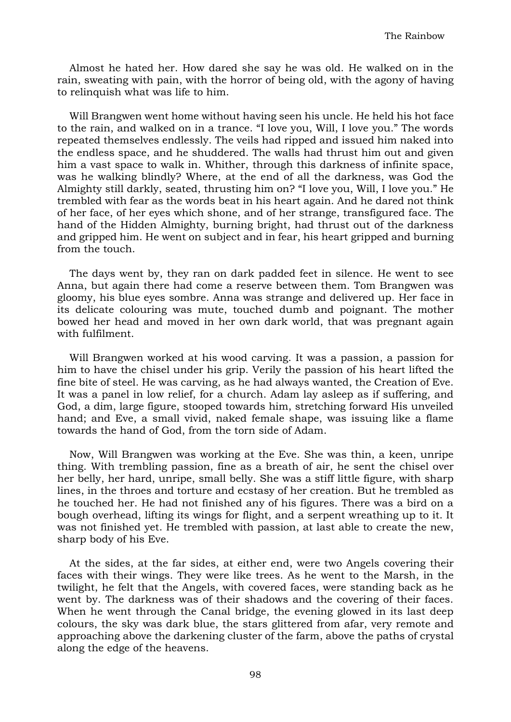Almost he hated her. How dared she say he was old. He walked on in the rain, sweating with pain, with the horror of being old, with the agony of having to relinquish what was life to him.

Will Brangwen went home without having seen his uncle. He held his hot face to the rain, and walked on in a trance. "I love you, Will, I love you." The words repeated themselves endlessly. The veils had ripped and issued him naked into the endless space, and he shuddered. The walls had thrust him out and given him a vast space to walk in. Whither, through this darkness of infinite space, was he walking blindly? Where, at the end of all the darkness, was God the Almighty still darkly, seated, thrusting him on? "I love you, Will, I love you." He trembled with fear as the words beat in his heart again. And he dared not think of her face, of her eyes which shone, and of her strange, transfigured face. The hand of the Hidden Almighty, burning bright, had thrust out of the darkness and gripped him. He went on subject and in fear, his heart gripped and burning from the touch.

The days went by, they ran on dark padded feet in silence. He went to see Anna, but again there had come a reserve between them. Tom Brangwen was gloomy, his blue eyes sombre. Anna was strange and delivered up. Her face in its delicate colouring was mute, touched dumb and poignant. The mother bowed her head and moved in her own dark world, that was pregnant again with fulfilment.

Will Brangwen worked at his wood carving. It was a passion, a passion for him to have the chisel under his grip. Verily the passion of his heart lifted the fine bite of steel. He was carving, as he had always wanted, the Creation of Eve. It was a panel in low relief, for a church. Adam lay asleep as if suffering, and God, a dim, large figure, stooped towards him, stretching forward His unveiled hand; and Eve, a small vivid, naked female shape, was issuing like a flame towards the hand of God, from the torn side of Adam.

Now, Will Brangwen was working at the Eve. She was thin, a keen, unripe thing. With trembling passion, fine as a breath of air, he sent the chisel over her belly, her hard, unripe, small belly. She was a stiff little figure, with sharp lines, in the throes and torture and ecstasy of her creation. But he trembled as he touched her. He had not finished any of his figures. There was a bird on a bough overhead, lifting its wings for flight, and a serpent wreathing up to it. It was not finished yet. He trembled with passion, at last able to create the new, sharp body of his Eve.

At the sides, at the far sides, at either end, were two Angels covering their faces with their wings. They were like trees. As he went to the Marsh, in the twilight, he felt that the Angels, with covered faces, were standing back as he went by. The darkness was of their shadows and the covering of their faces. When he went through the Canal bridge, the evening glowed in its last deep colours, the sky was dark blue, the stars glittered from afar, very remote and approaching above the darkening cluster of the farm, above the paths of crystal along the edge of the heavens.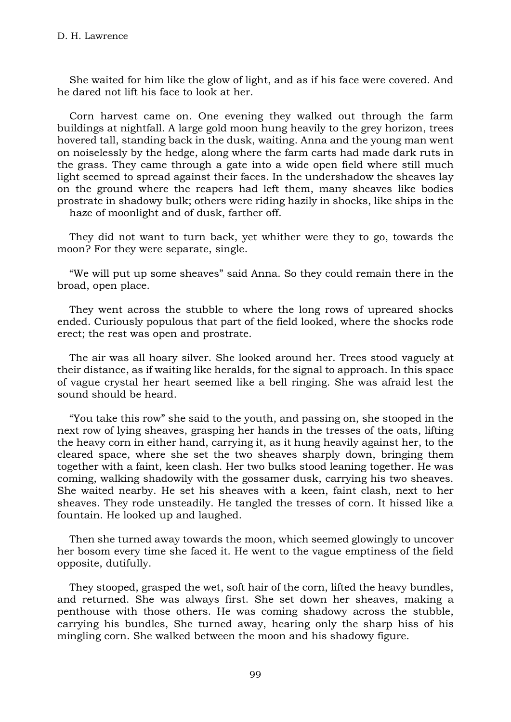She waited for him like the glow of light, and as if his face were covered. And he dared not lift his face to look at her.

Corn harvest came on. One evening they walked out through the farm buildings at nightfall. A large gold moon hung heavily to the grey horizon, trees hovered tall, standing back in the dusk, waiting. Anna and the young man went on noiselessly by the hedge, along where the farm carts had made dark ruts in the grass. They came through a gate into a wide open field where still much light seemed to spread against their faces. In the undershadow the sheaves lay on the ground where the reapers had left them, many sheaves like bodies prostrate in shadowy bulk; others were riding hazily in shocks, like ships in the

haze of moonlight and of dusk, farther off.

They did not want to turn back, yet whither were they to go, towards the moon? For they were separate, single.

"We will put up some sheaves" said Anna. So they could remain there in the broad, open place.

They went across the stubble to where the long rows of upreared shocks ended. Curiously populous that part of the field looked, where the shocks rode erect; the rest was open and prostrate.

The air was all hoary silver. She looked around her. Trees stood vaguely at their distance, as if waiting like heralds, for the signal to approach. In this space of vague crystal her heart seemed like a bell ringing. She was afraid lest the sound should be heard.

"You take this row" she said to the youth, and passing on, she stooped in the next row of lying sheaves, grasping her hands in the tresses of the oats, lifting the heavy corn in either hand, carrying it, as it hung heavily against her, to the cleared space, where she set the two sheaves sharply down, bringing them together with a faint, keen clash. Her two bulks stood leaning together. He was coming, walking shadowily with the gossamer dusk, carrying his two sheaves. She waited nearby. He set his sheaves with a keen, faint clash, next to her sheaves. They rode unsteadily. He tangled the tresses of corn. It hissed like a fountain. He looked up and laughed.

Then she turned away towards the moon, which seemed glowingly to uncover her bosom every time she faced it. He went to the vague emptiness of the field opposite, dutifully.

They stooped, grasped the wet, soft hair of the corn, lifted the heavy bundles, and returned. She was always first. She set down her sheaves, making a penthouse with those others. He was coming shadowy across the stubble, carrying his bundles, She turned away, hearing only the sharp hiss of his mingling corn. She walked between the moon and his shadowy figure.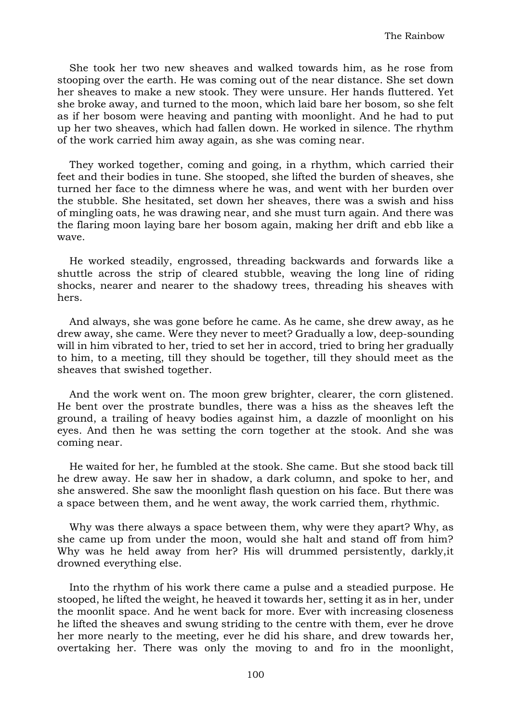She took her two new sheaves and walked towards him, as he rose from stooping over the earth. He was coming out of the near distance. She set down her sheaves to make a new stook. They were unsure. Her hands fluttered. Yet she broke away, and turned to the moon, which laid bare her bosom, so she felt as if her bosom were heaving and panting with moonlight. And he had to put up her two sheaves, which had fallen down. He worked in silence. The rhythm of the work carried him away again, as she was coming near.

They worked together, coming and going, in a rhythm, which carried their feet and their bodies in tune. She stooped, she lifted the burden of sheaves, she turned her face to the dimness where he was, and went with her burden over the stubble. She hesitated, set down her sheaves, there was a swish and hiss of mingling oats, he was drawing near, and she must turn again. And there was the flaring moon laying bare her bosom again, making her drift and ebb like a wave.

He worked steadily, engrossed, threading backwards and forwards like a shuttle across the strip of cleared stubble, weaving the long line of riding shocks, nearer and nearer to the shadowy trees, threading his sheaves with hers.

And always, she was gone before he came. As he came, she drew away, as he drew away, she came. Were they never to meet? Gradually a low, deep-sounding will in him vibrated to her, tried to set her in accord, tried to bring her gradually to him, to a meeting, till they should be together, till they should meet as the sheaves that swished together.

And the work went on. The moon grew brighter, clearer, the corn glistened. He bent over the prostrate bundles, there was a hiss as the sheaves left the ground, a trailing of heavy bodies against him, a dazzle of moonlight on his eyes. And then he was setting the corn together at the stook. And she was coming near.

He waited for her, he fumbled at the stook. She came. But she stood back till he drew away. He saw her in shadow, a dark column, and spoke to her, and she answered. She saw the moonlight flash question on his face. But there was a space between them, and he went away, the work carried them, rhythmic.

Why was there always a space between them, why were they apart? Why, as she came up from under the moon, would she halt and stand off from him? Why was he held away from her? His will drummed persistently, darkly,it drowned everything else.

Into the rhythm of his work there came a pulse and a steadied purpose. He stooped, he lifted the weight, he heaved it towards her, setting it as in her, under the moonlit space. And he went back for more. Ever with increasing closeness he lifted the sheaves and swung striding to the centre with them, ever he drove her more nearly to the meeting, ever he did his share, and drew towards her, overtaking her. There was only the moving to and fro in the moonlight,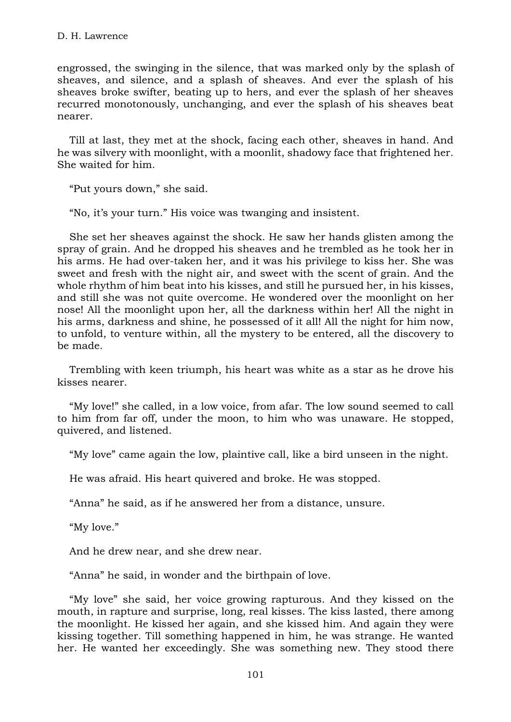engrossed, the swinging in the silence, that was marked only by the splash of sheaves, and silence, and a splash of sheaves. And ever the splash of his sheaves broke swifter, beating up to hers, and ever the splash of her sheaves recurred monotonously, unchanging, and ever the splash of his sheaves beat nearer.

Till at last, they met at the shock, facing each other, sheaves in hand. And he was silvery with moonlight, with a moonlit, shadowy face that frightened her. She waited for him.

"Put yours down," she said.

"No, it's your turn." His voice was twanging and insistent.

She set her sheaves against the shock. He saw her hands glisten among the spray of grain. And he dropped his sheaves and he trembled as he took her in his arms. He had over-taken her, and it was his privilege to kiss her. She was sweet and fresh with the night air, and sweet with the scent of grain. And the whole rhythm of him beat into his kisses, and still he pursued her, in his kisses, and still she was not quite overcome. He wondered over the moonlight on her nose! All the moonlight upon her, all the darkness within her! All the night in his arms, darkness and shine, he possessed of it all! All the night for him now, to unfold, to venture within, all the mystery to be entered, all the discovery to be made.

Trembling with keen triumph, his heart was white as a star as he drove his kisses nearer.

"My love!" she called, in a low voice, from afar. The low sound seemed to call to him from far off, under the moon, to him who was unaware. He stopped, quivered, and listened.

"My love" came again the low, plaintive call, like a bird unseen in the night.

He was afraid. His heart quivered and broke. He was stopped.

"Anna" he said, as if he answered her from a distance, unsure.

"My love."

And he drew near, and she drew near.

"Anna" he said, in wonder and the birthpain of love.

"My love" she said, her voice growing rapturous. And they kissed on the mouth, in rapture and surprise, long, real kisses. The kiss lasted, there among the moonlight. He kissed her again, and she kissed him. And again they were kissing together. Till something happened in him, he was strange. He wanted her. He wanted her exceedingly. She was something new. They stood there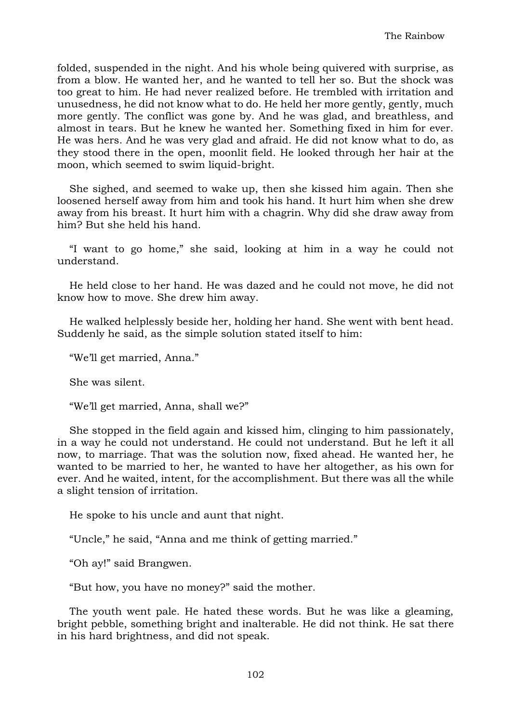folded, suspended in the night. And his whole being quivered with surprise, as from a blow. He wanted her, and he wanted to tell her so. But the shock was too great to him. He had never realized before. He trembled with irritation and unusedness, he did not know what to do. He held her more gently, gently, much more gently. The conflict was gone by. And he was glad, and breathless, and almost in tears. But he knew he wanted her. Something fixed in him for ever. He was hers. And he was very glad and afraid. He did not know what to do, as they stood there in the open, moonlit field. He looked through her hair at the moon, which seemed to swim liquid-bright.

She sighed, and seemed to wake up, then she kissed him again. Then she loosened herself away from him and took his hand. It hurt him when she drew away from his breast. It hurt him with a chagrin. Why did she draw away from him? But she held his hand.

"I want to go home," she said, looking at him in a way he could not understand.

He held close to her hand. He was dazed and he could not move, he did not know how to move. She drew him away.

He walked helplessly beside her, holding her hand. She went with bent head. Suddenly he said, as the simple solution stated itself to him:

"We'll get married, Anna."

She was silent.

"We'll get married, Anna, shall we?"

She stopped in the field again and kissed him, clinging to him passionately, in a way he could not understand. He could not understand. But he left it all now, to marriage. That was the solution now, fixed ahead. He wanted her, he wanted to be married to her, he wanted to have her altogether, as his own for ever. And he waited, intent, for the accomplishment. But there was all the while a slight tension of irritation.

He spoke to his uncle and aunt that night.

"Uncle," he said, "Anna and me think of getting married."

"Oh ay!" said Brangwen.

"But how, you have no money?" said the mother.

The youth went pale. He hated these words. But he was like a gleaming, bright pebble, something bright and inalterable. He did not think. He sat there in his hard brightness, and did not speak.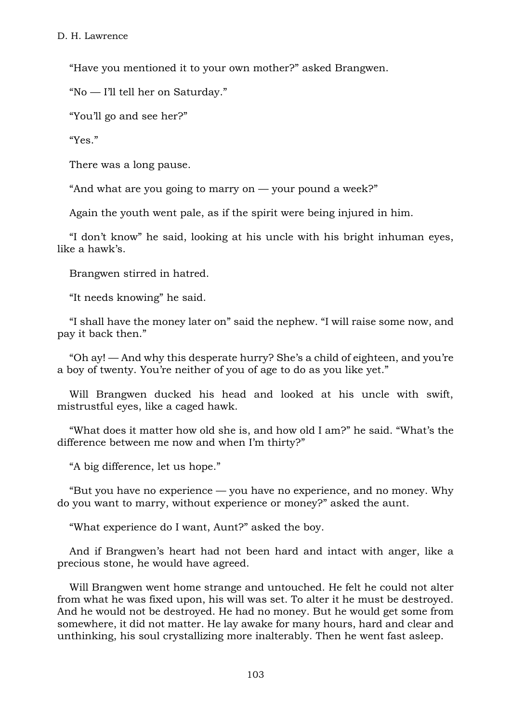"Have you mentioned it to your own mother?" asked Brangwen.

"No — I'll tell her on Saturday."

"You'll go and see her?"

"Yes."

There was a long pause.

"And what are you going to marry on  $-$  your pound a week?"

Again the youth went pale, as if the spirit were being injured in him.

"I don't know" he said, looking at his uncle with his bright inhuman eyes, like a hawk's.

Brangwen stirred in hatred.

"It needs knowing" he said.

"I shall have the money later on" said the nephew. "I will raise some now, and pay it back then."

"Oh ay! — And why this desperate hurry? She's a child of eighteen, and you're a boy of twenty. You're neither of you of age to do as you like yet."

Will Brangwen ducked his head and looked at his uncle with swift, mistrustful eyes, like a caged hawk.

"What does it matter how old she is, and how old I am?" he said. "What's the difference between me now and when I'm thirty?"

"A big difference, let us hope."

"But you have no experience — you have no experience, and no money. Why do you want to marry, without experience or money?" asked the aunt.

"What experience do I want, Aunt?" asked the boy.

And if Brangwen's heart had not been hard and intact with anger, like a precious stone, he would have agreed.

Will Brangwen went home strange and untouched. He felt he could not alter from what he was fixed upon, his will was set. To alter it he must be destroyed. And he would not be destroyed. He had no money. But he would get some from somewhere, it did not matter. He lay awake for many hours, hard and clear and unthinking, his soul crystallizing more inalterably. Then he went fast asleep.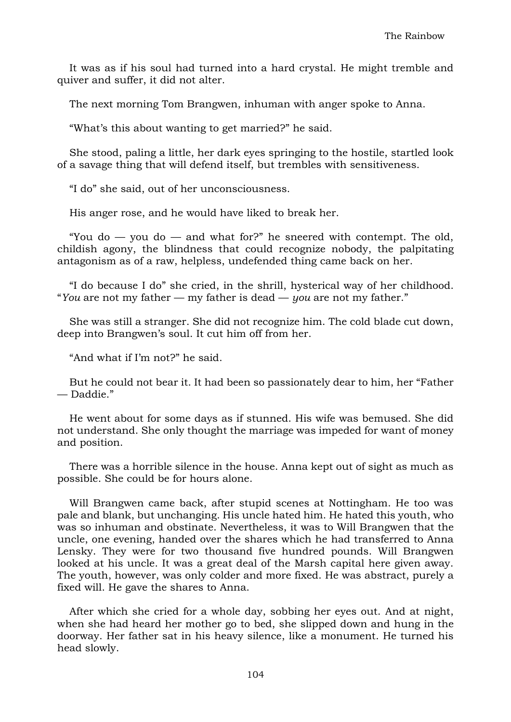It was as if his soul had turned into a hard crystal. He might tremble and quiver and suffer, it did not alter.

The next morning Tom Brangwen, inhuman with anger spoke to Anna.

"What's this about wanting to get married?" he said.

She stood, paling a little, her dark eyes springing to the hostile, startled look of a savage thing that will defend itself, but trembles with sensitiveness.

"I do" she said, out of her unconsciousness.

His anger rose, and he would have liked to break her.

"You do  $-$  you do  $-$  and what for?" he sneered with contempt. The old, childish agony, the blindness that could recognize nobody, the palpitating antagonism as of a raw, helpless, undefended thing came back on her.

"I do because I do" she cried, in the shrill, hysterical way of her childhood. "*You* are not my father — my father is dead — *you* are not my father."

She was still a stranger. She did not recognize him. The cold blade cut down, deep into Brangwen's soul. It cut him off from her.

"And what if I'm not?" he said.

But he could not bear it. It had been so passionately dear to him, her "Father — Daddie."

He went about for some days as if stunned. His wife was bemused. She did not understand. She only thought the marriage was impeded for want of money and position.

There was a horrible silence in the house. Anna kept out of sight as much as possible. She could be for hours alone.

Will Brangwen came back, after stupid scenes at Nottingham. He too was pale and blank, but unchanging. His uncle hated him. He hated this youth, who was so inhuman and obstinate. Nevertheless, it was to Will Brangwen that the uncle, one evening, handed over the shares which he had transferred to Anna Lensky. They were for two thousand five hundred pounds. Will Brangwen looked at his uncle. It was a great deal of the Marsh capital here given away. The youth, however, was only colder and more fixed. He was abstract, purely a fixed will. He gave the shares to Anna.

After which she cried for a whole day, sobbing her eyes out. And at night, when she had heard her mother go to bed, she slipped down and hung in the doorway. Her father sat in his heavy silence, like a monument. He turned his head slowly.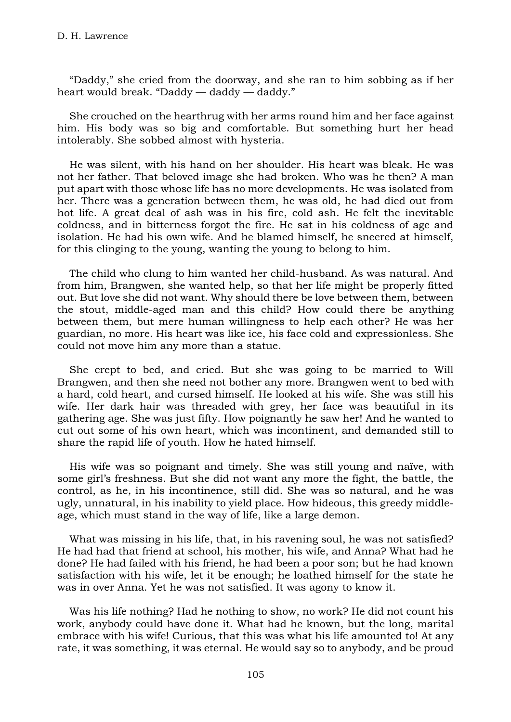"Daddy," she cried from the doorway, and she ran to him sobbing as if her heart would break. "Daddy — daddy — daddy."

She crouched on the hearthrug with her arms round him and her face against him. His body was so big and comfortable. But something hurt her head intolerably. She sobbed almost with hysteria.

He was silent, with his hand on her shoulder. His heart was bleak. He was not her father. That beloved image she had broken. Who was he then? A man put apart with those whose life has no more developments. He was isolated from her. There was a generation between them, he was old, he had died out from hot life. A great deal of ash was in his fire, cold ash. He felt the inevitable coldness, and in bitterness forgot the fire. He sat in his coldness of age and isolation. He had his own wife. And he blamed himself, he sneered at himself, for this clinging to the young, wanting the young to belong to him.

The child who clung to him wanted her child-husband. As was natural. And from him, Brangwen, she wanted help, so that her life might be properly fitted out. But love she did not want. Why should there be love between them, between the stout, middle-aged man and this child? How could there be anything between them, but mere human willingness to help each other? He was her guardian, no more. His heart was like ice, his face cold and expressionless. She could not move him any more than a statue.

She crept to bed, and cried. But she was going to be married to Will Brangwen, and then she need not bother any more. Brangwen went to bed with a hard, cold heart, and cursed himself. He looked at his wife. She was still his wife. Her dark hair was threaded with grey, her face was beautiful in its gathering age. She was just fifty. How poignantly he saw her! And he wanted to cut out some of his own heart, which was incontinent, and demanded still to share the rapid life of youth. How he hated himself.

His wife was so poignant and timely. She was still young and naïve, with some girl's freshness. But she did not want any more the fight, the battle, the control, as he, in his incontinence, still did. She was so natural, and he was ugly, unnatural, in his inability to yield place. How hideous, this greedy middleage, which must stand in the way of life, like a large demon.

What was missing in his life, that, in his ravening soul, he was not satisfied? He had had that friend at school, his mother, his wife, and Anna? What had he done? He had failed with his friend, he had been a poor son; but he had known satisfaction with his wife, let it be enough; he loathed himself for the state he was in over Anna. Yet he was not satisfied. It was agony to know it.

Was his life nothing? Had he nothing to show, no work? He did not count his work, anybody could have done it. What had he known, but the long, marital embrace with his wife! Curious, that this was what his life amounted to! At any rate, it was something, it was eternal. He would say so to anybody, and be proud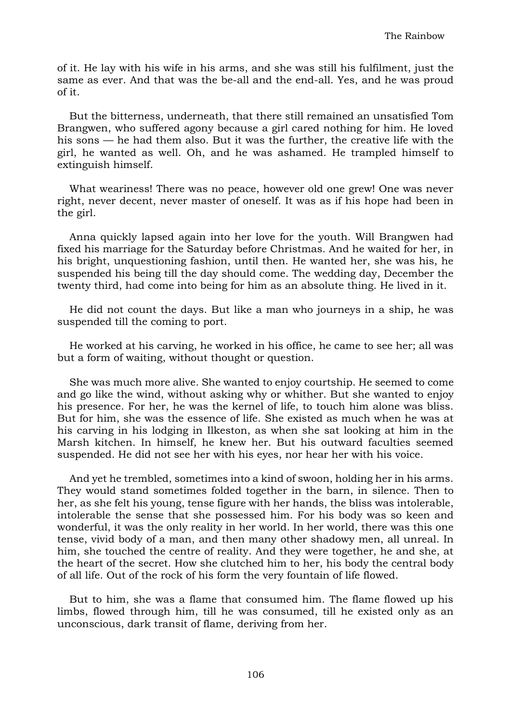of it. He lay with his wife in his arms, and she was still his fulfilment, just the same as ever. And that was the be-all and the end-all. Yes, and he was proud of it.

But the bitterness, underneath, that there still remained an unsatisfied Tom Brangwen, who suffered agony because a girl cared nothing for him. He loved his sons — he had them also. But it was the further, the creative life with the girl, he wanted as well. Oh, and he was ashamed. He trampled himself to extinguish himself.

What weariness! There was no peace, however old one grew! One was never right, never decent, never master of oneself. It was as if his hope had been in the girl.

Anna quickly lapsed again into her love for the youth. Will Brangwen had fixed his marriage for the Saturday before Christmas. And he waited for her, in his bright, unquestioning fashion, until then. He wanted her, she was his, he suspended his being till the day should come. The wedding day, December the twenty third, had come into being for him as an absolute thing. He lived in it.

He did not count the days. But like a man who journeys in a ship, he was suspended till the coming to port.

He worked at his carving, he worked in his office, he came to see her; all was but a form of waiting, without thought or question.

She was much more alive. She wanted to enjoy courtship. He seemed to come and go like the wind, without asking why or whither. But she wanted to enjoy his presence. For her, he was the kernel of life, to touch him alone was bliss. But for him, she was the essence of life. She existed as much when he was at his carving in his lodging in Ilkeston, as when she sat looking at him in the Marsh kitchen. In himself, he knew her. But his outward faculties seemed suspended. He did not see her with his eyes, nor hear her with his voice.

And yet he trembled, sometimes into a kind of swoon, holding her in his arms. They would stand sometimes folded together in the barn, in silence. Then to her, as she felt his young, tense figure with her hands, the bliss was intolerable, intolerable the sense that she possessed him. For his body was so keen and wonderful, it was the only reality in her world. In her world, there was this one tense, vivid body of a man, and then many other shadowy men, all unreal. In him, she touched the centre of reality. And they were together, he and she, at the heart of the secret. How she clutched him to her, his body the central body of all life. Out of the rock of his form the very fountain of life flowed.

But to him, she was a flame that consumed him. The flame flowed up his limbs, flowed through him, till he was consumed, till he existed only as an unconscious, dark transit of flame, deriving from her.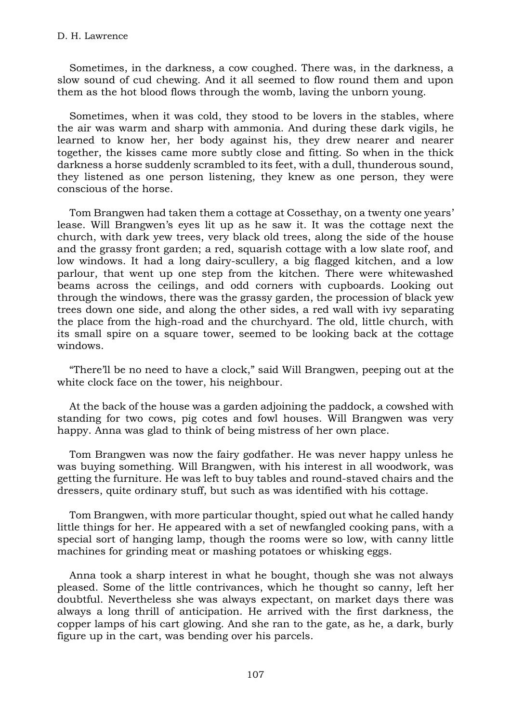Sometimes, in the darkness, a cow coughed. There was, in the darkness, a slow sound of cud chewing. And it all seemed to flow round them and upon them as the hot blood flows through the womb, laving the unborn young.

Sometimes, when it was cold, they stood to be lovers in the stables, where the air was warm and sharp with ammonia. And during these dark vigils, he learned to know her, her body against his, they drew nearer and nearer together, the kisses came more subtly close and fitting. So when in the thick darkness a horse suddenly scrambled to its feet, with a dull, thunderous sound, they listened as one person listening, they knew as one person, they were conscious of the horse.

Tom Brangwen had taken them a cottage at Cossethay, on a twenty one years' lease. Will Brangwen's eyes lit up as he saw it. It was the cottage next the church, with dark yew trees, very black old trees, along the side of the house and the grassy front garden; a red, squarish cottage with a low slate roof, and low windows. It had a long dairy-scullery, a big flagged kitchen, and a low parlour, that went up one step from the kitchen. There were whitewashed beams across the ceilings, and odd corners with cupboards. Looking out through the windows, there was the grassy garden, the procession of black yew trees down one side, and along the other sides, a red wall with ivy separating the place from the high-road and the churchyard. The old, little church, with its small spire on a square tower, seemed to be looking back at the cottage windows.

"There'll be no need to have a clock," said Will Brangwen, peeping out at the white clock face on the tower, his neighbour.

At the back of the house was a garden adjoining the paddock, a cowshed with standing for two cows, pig cotes and fowl houses. Will Brangwen was very happy. Anna was glad to think of being mistress of her own place.

Tom Brangwen was now the fairy godfather. He was never happy unless he was buying something. Will Brangwen, with his interest in all woodwork, was getting the furniture. He was left to buy tables and round-staved chairs and the dressers, quite ordinary stuff, but such as was identified with his cottage.

Tom Brangwen, with more particular thought, spied out what he called handy little things for her. He appeared with a set of newfangled cooking pans, with a special sort of hanging lamp, though the rooms were so low, with canny little machines for grinding meat or mashing potatoes or whisking eggs.

Anna took a sharp interest in what he bought, though she was not always pleased. Some of the little contrivances, which he thought so canny, left her doubtful. Nevertheless she was always expectant, on market days there was always a long thrill of anticipation. He arrived with the first darkness, the copper lamps of his cart glowing. And she ran to the gate, as he, a dark, burly figure up in the cart, was bending over his parcels.